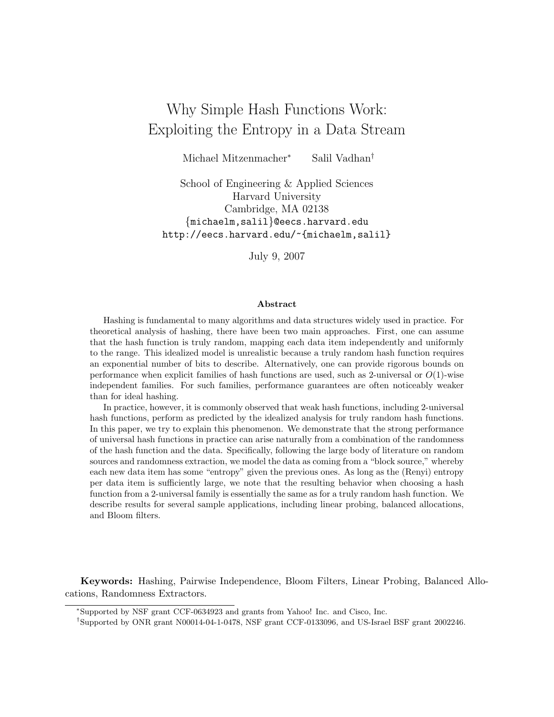# Why Simple Hash Functions Work: Exploiting the Entropy in a Data Stream

Michael Mitzenmacher<sup>∗</sup> Salil Vadhan†

School of Engineering & Applied Sciences Harvard University Cambridge, MA 02138 {michaelm,salil}@eecs.harvard.edu http://eecs.harvard.edu/~{michaelm,salil}

July 9, 2007

#### Abstract

Hashing is fundamental to many algorithms and data structures widely used in practice. For theoretical analysis of hashing, there have been two main approaches. First, one can assume that the hash function is truly random, mapping each data item independently and uniformly to the range. This idealized model is unrealistic because a truly random hash function requires an exponential number of bits to describe. Alternatively, one can provide rigorous bounds on performance when explicit families of hash functions are used, such as 2-universal or  $O(1)$ -wise independent families. For such families, performance guarantees are often noticeably weaker than for ideal hashing.

In practice, however, it is commonly observed that weak hash functions, including 2-universal hash functions, perform as predicted by the idealized analysis for truly random hash functions. In this paper, we try to explain this phenomenon. We demonstrate that the strong performance of universal hash functions in practice can arise naturally from a combination of the randomness of the hash function and the data. Specifically, following the large body of literature on random sources and randomness extraction, we model the data as coming from a "block source," whereby each new data item has some "entropy" given the previous ones. As long as the (Renyi) entropy per data item is sufficiently large, we note that the resulting behavior when choosing a hash function from a 2-universal family is essentially the same as for a truly random hash function. We describe results for several sample applications, including linear probing, balanced allocations, and Bloom filters.

Keywords: Hashing, Pairwise Independence, Bloom Filters, Linear Probing, Balanced Allocations, Randomness Extractors.

<sup>∗</sup>Supported by NSF grant CCF-0634923 and grants from Yahoo! Inc. and Cisco, Inc.

<sup>†</sup>Supported by ONR grant N00014-04-1-0478, NSF grant CCF-0133096, and US-Israel BSF grant 2002246.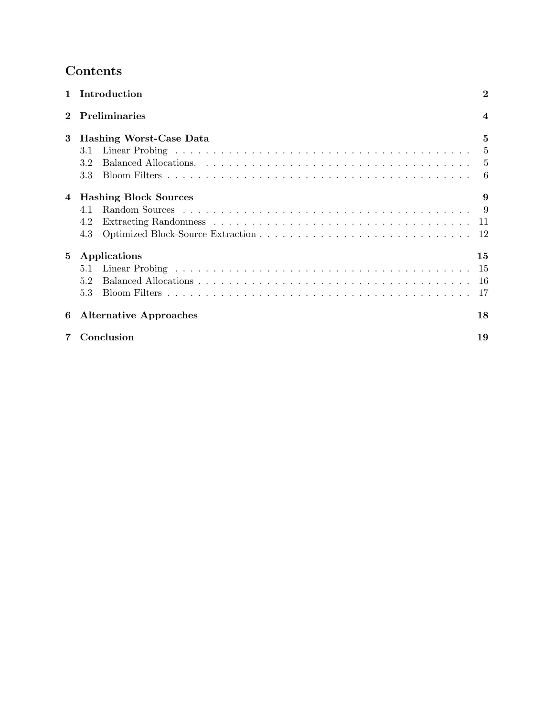# Contents

| $\mathbf{1}$ | Introduction                   | $\bf{2}$       |
|--------------|--------------------------------|----------------|
|              | <b>Preliminaries</b>           | $\overline{4}$ |
| 3            | <b>Hashing Worst-Case Data</b> | 5              |
|              | 3.1                            | -5             |
|              | 3.2                            | -5             |
|              | 3.3                            | -6             |
| 4            | <b>Hashing Block Sources</b>   | 9              |
|              | 4.1                            |                |
|              | 4.2                            |                |
|              | 4.3                            | 12             |
| 5            | Applications                   | 15             |
|              | 5.1                            | -15            |
|              | 5.2                            | -16            |
|              | 5.3                            | 17             |
| 6            | <b>Alternative Approaches</b>  | 18             |
|              | Conclusion                     | 19             |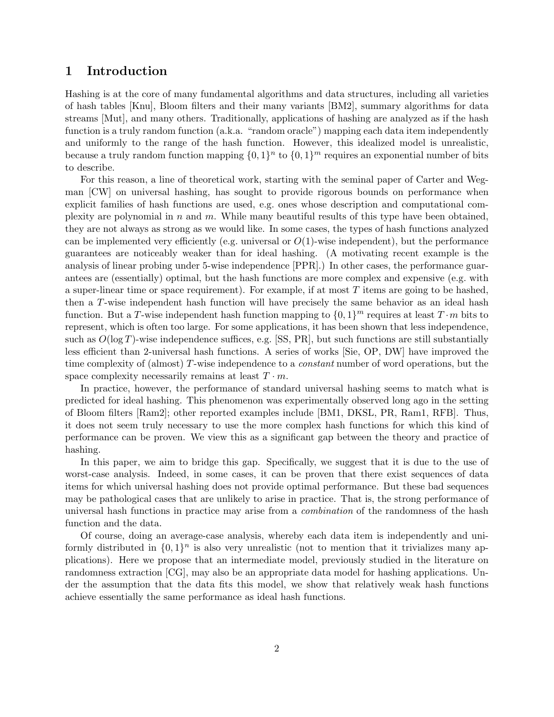## 1 Introduction

Hashing is at the core of many fundamental algorithms and data structures, including all varieties of hash tables [Knu], Bloom filters and their many variants [BM2], summary algorithms for data streams [Mut], and many others. Traditionally, applications of hashing are analyzed as if the hash function is a truly random function (a.k.a. "random oracle") mapping each data item independently and uniformly to the range of the hash function. However, this idealized model is unrealistic, because a truly random function mapping  $\{0,1\}^n$  to  $\{0,1\}^m$  requires an exponential number of bits to describe.

For this reason, a line of theoretical work, starting with the seminal paper of Carter and Wegman [CW] on universal hashing, has sought to provide rigorous bounds on performance when explicit families of hash functions are used, e.g. ones whose description and computational complexity are polynomial in  $n$  and  $m$ . While many beautiful results of this type have been obtained, they are not always as strong as we would like. In some cases, the types of hash functions analyzed can be implemented very efficiently (e.g. universal or  $O(1)$ -wise independent), but the performance guarantees are noticeably weaker than for ideal hashing. (A motivating recent example is the analysis of linear probing under 5-wise independence [PPR].) In other cases, the performance guarantees are (essentially) optimal, but the hash functions are more complex and expensive (e.g. with a super-linear time or space requirement). For example, if at most T items are going to be hashed, then a T-wise independent hash function will have precisely the same behavior as an ideal hash function. But a T-wise independent hash function mapping to  $\{0,1\}^m$  requires at least  $T \cdot m$  bits to represent, which is often too large. For some applications, it has been shown that less independence, such as  $O(\log T)$ -wise independence suffices, e.g. [SS, PR], but such functions are still substantially less efficient than 2-universal hash functions. A series of works [Sie, OP, DW] have improved the time complexity of (almost) T-wise independence to a constant number of word operations, but the space complexity necessarily remains at least  $T \cdot m$ .

In practice, however, the performance of standard universal hashing seems to match what is predicted for ideal hashing. This phenomenon was experimentally observed long ago in the setting of Bloom filters [Ram2]; other reported examples include [BM1, DKSL, PR, Ram1, RFB]. Thus, it does not seem truly necessary to use the more complex hash functions for which this kind of performance can be proven. We view this as a significant gap between the theory and practice of hashing.

In this paper, we aim to bridge this gap. Specifically, we suggest that it is due to the use of worst-case analysis. Indeed, in some cases, it can be proven that there exist sequences of data items for which universal hashing does not provide optimal performance. But these bad sequences may be pathological cases that are unlikely to arise in practice. That is, the strong performance of universal hash functions in practice may arise from a *combination* of the randomness of the hash function and the data.

Of course, doing an average-case analysis, whereby each data item is independently and uniformly distributed in  $\{0,1\}^n$  is also very unrealistic (not to mention that it trivializes many applications). Here we propose that an intermediate model, previously studied in the literature on randomness extraction [CG], may also be an appropriate data model for hashing applications. Under the assumption that the data fits this model, we show that relatively weak hash functions achieve essentially the same performance as ideal hash functions.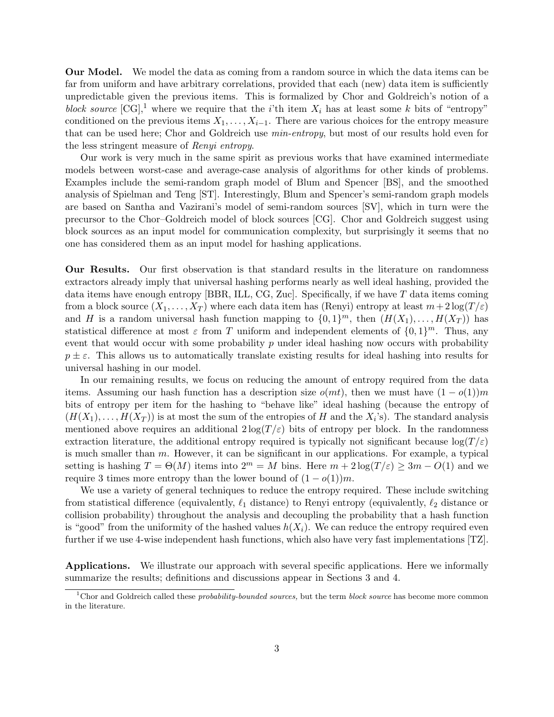Our Model. We model the data as coming from a random source in which the data items can be far from uniform and have arbitrary correlations, provided that each (new) data item is sufficiently unpredictable given the previous items. This is formalized by Chor and Goldreich's notion of a block source  $[CG],$ <sup>1</sup> where we require that the i'th item  $X_i$  has at least some k bits of "entropy" conditioned on the previous items  $X_1, \ldots, X_{i-1}$ . There are various choices for the entropy measure that can be used here; Chor and Goldreich use min-entropy, but most of our results hold even for the less stringent measure of Renyi entropy.

Our work is very much in the same spirit as previous works that have examined intermediate models between worst-case and average-case analysis of algorithms for other kinds of problems. Examples include the semi-random graph model of Blum and Spencer [BS], and the smoothed analysis of Spielman and Teng [ST]. Interestingly, Blum and Spencer's semi-random graph models are based on Santha and Vazirani's model of semi-random sources [SV], which in turn were the precursor to the Chor–Goldreich model of block sources [CG]. Chor and Goldreich suggest using block sources as an input model for communication complexity, but surprisingly it seems that no one has considered them as an input model for hashing applications.

Our Results. Our first observation is that standard results in the literature on randomness extractors already imply that universal hashing performs nearly as well ideal hashing, provided the data items have enough entropy [BBR, ILL, CG, Zuc]. Specifically, if we have T data items coming from a block source  $(X_1, \ldots, X_T)$  where each data item has (Renyi) entropy at least  $m+2\log(T/\varepsilon)$ and H is a random universal hash function mapping to  $\{0,1\}^m$ , then  $(H(X_1),...,H(X_T))$  has statistical difference at most  $\varepsilon$  from T uniform and independent elements of  $\{0,1\}^m$ . Thus, any event that would occur with some probability  $p$  under ideal hashing now occurs with probability  $p \pm \varepsilon$ . This allows us to automatically translate existing results for ideal hashing into results for universal hashing in our model.

In our remaining results, we focus on reducing the amount of entropy required from the data items. Assuming our hash function has a description size  $o(mt)$ , then we must have  $(1 - o(1))m$ bits of entropy per item for the hashing to "behave like" ideal hashing (because the entropy of  $(H(X_1),...,H(X_T))$  is at most the sum of the entropies of H and the  $X_i$ 's). The standard analysis mentioned above requires an additional  $2 \log(T/\varepsilon)$  bits of entropy per block. In the randomness extraction literature, the additional entropy required is typically not significant because  $\log(T/\varepsilon)$ is much smaller than  $m$ . However, it can be significant in our applications. For example, a typical setting is hashing  $T = \Theta(M)$  items into  $2^m = M$  bins. Here  $m + 2 \log(T/\varepsilon) \geq 3m - O(1)$  and we require 3 times more entropy than the lower bound of  $(1 - o(1))m$ .

We use a variety of general techniques to reduce the entropy required. These include switching from statistical difference (equivalently,  $\ell_1$  distance) to Renyi entropy (equivalently,  $\ell_2$  distance or collision probability) throughout the analysis and decoupling the probability that a hash function is "good" from the uniformity of the hashed values  $h(X_i)$ . We can reduce the entropy required even further if we use 4-wise independent hash functions, which also have very fast implementations [TZ].

Applications. We illustrate our approach with several specific applications. Here we informally summarize the results; definitions and discussions appear in Sections 3 and 4.

<sup>&</sup>lt;sup>1</sup>Chor and Goldreich called these *probability-bounded sources*, but the term *block source* has become more common in the literature.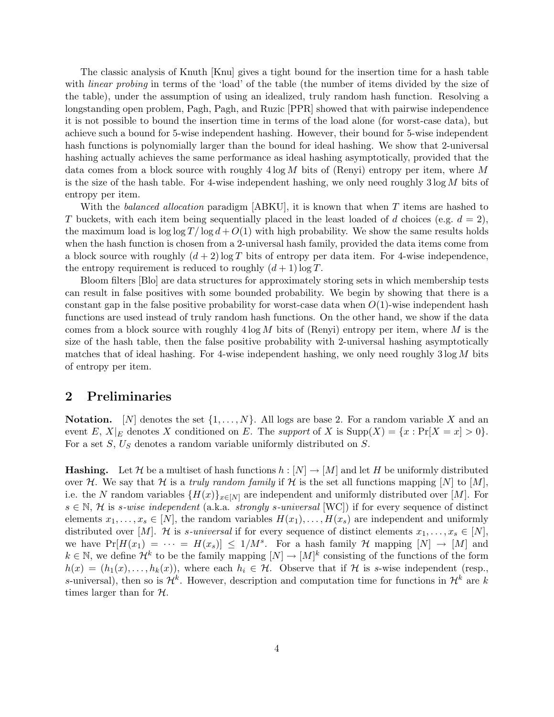The classic analysis of Knuth [Knu] gives a tight bound for the insertion time for a hash table with *linear probing* in terms of the 'load' of the table (the number of items divided by the size of the table), under the assumption of using an idealized, truly random hash function. Resolving a longstanding open problem, Pagh, Pagh, and Ruzic [PPR] showed that with pairwise independence it is not possible to bound the insertion time in terms of the load alone (for worst-case data), but achieve such a bound for 5-wise independent hashing. However, their bound for 5-wise independent hash functions is polynomially larger than the bound for ideal hashing. We show that 2-universal hashing actually achieves the same performance as ideal hashing asymptotically, provided that the data comes from a block source with roughly  $4 \log M$  bits of (Renyi) entropy per item, where M is the size of the hash table. For 4-wise independent hashing, we only need roughly  $3 \log M$  bits of entropy per item.

With the balanced allocation paradigm  $[ABKU]$ , it is known that when T items are hashed to T buckets, with each item being sequentially placed in the least loaded of d choices (e.g.  $d = 2$ ). the maximum load is  $\log \log T / \log d + O(1)$  with high probability. We show the same results holds when the hash function is chosen from a 2-universal hash family, provided the data items come from a block source with roughly  $(d+2)$  log T bits of entropy per data item. For 4-wise independence, the entropy requirement is reduced to roughly  $(d+1) \log T$ .

Bloom filters [Blo] are data structures for approximately storing sets in which membership tests can result in false positives with some bounded probability. We begin by showing that there is a constant gap in the false positive probability for worst-case data when  $O(1)$ -wise independent hash functions are used instead of truly random hash functions. On the other hand, we show if the data comes from a block source with roughly  $4 \log M$  bits of (Renyi) entropy per item, where M is the size of the hash table, then the false positive probability with 2-universal hashing asymptotically matches that of ideal hashing. For 4-wise independent hashing, we only need roughly  $3 \log M$  bits of entropy per item.

## 2 Preliminaries

**Notation.** [N] denotes the set  $\{1, \ldots, N\}$ . All logs are base 2. For a random variable X and an event E,  $X|_E$  denotes X conditioned on E. The support of X is  $\text{Supp}(X) = \{x : \Pr[X = x] > 0\}.$ For a set  $S$ ,  $U_S$  denotes a random variable uniformly distributed on  $S$ .

**Hashing.** Let H be a multiset of hash functions  $h: [N] \to [M]$  and let H be uniformly distributed over H. We say that H is a truly random family if H is the set all functions mapping [N] to [M], i.e. the N random variables  $\{H(x)\}_{x\in[N]}$  are independent and uniformly distributed over [M]. For  $s \in \mathbb{N}$ , H is s-wise independent (a.k.a. strongly s-universal [WC]) if for every sequence of distinct elements  $x_1, \ldots, x_s \in [N]$ , the random variables  $H(x_1), \ldots, H(x_s)$  are independent and uniformly distributed over [M]. H is s-universal if for every sequence of distinct elements  $x_1, \ldots, x_s \in [N]$ , we have  $Pr[H(x_1) = \cdots = H(x_s)] \leq 1/M^s$ . For a hash family H mapping  $[N] \rightarrow [M]$  and  $k \in \mathbb{N}$ , we define  $\mathcal{H}^k$  to be the family mapping  $[N] \to [M]^k$  consisting of the functions of the form  $h(x) = (h_1(x), \ldots, h_k(x)),$  where each  $h_i \in \mathcal{H}$ . Observe that if H is s-wise independent (resp., s-universal), then so is  $\mathcal{H}^k$ . However, description and computation time for functions in  $\mathcal{H}^k$  are k times larger than for  $H$ .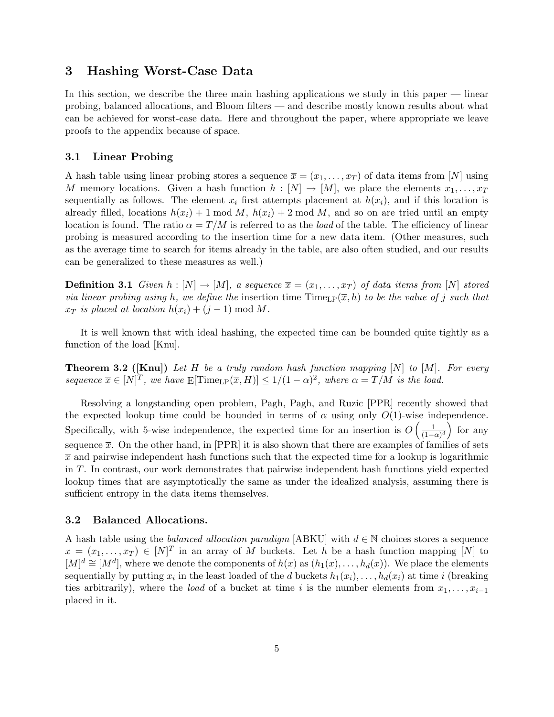## 3 Hashing Worst-Case Data

In this section, we describe the three main hashing applications we study in this paper — linear probing, balanced allocations, and Bloom filters — and describe mostly known results about what can be achieved for worst-case data. Here and throughout the paper, where appropriate we leave proofs to the appendix because of space.

### 3.1 Linear Probing

A hash table using linear probing stores a sequence  $\overline{x} = (x_1, \ldots, x_T)$  of data items from [N] using M memory locations. Given a hash function  $h : [N] \to [M]$ , we place the elements  $x_1, \ldots, x_T$ sequentially as follows. The element  $x_i$  first attempts placement at  $h(x_i)$ , and if this location is already filled, locations  $h(x_i) + 1 \mod M$ ,  $h(x_i) + 2 \mod M$ , and so on are tried until an empty location is found. The ratio  $\alpha = T/M$  is referred to as the *load* of the table. The efficiency of linear probing is measured according to the insertion time for a new data item. (Other measures, such as the average time to search for items already in the table, are also often studied, and our results can be generalized to these measures as well.)

**Definition 3.1** Given  $h : [N] \to [M]$ , a sequence  $\overline{x} = (x_1, \ldots, x_T)$  of data items from [N] stored via linear probing using h, we define the insertion time  $\text{Time}_{LP}(\bar{x}, h)$  to be the value of j such that  $x_T$  is placed at location  $h(x_i) + (j-1) \bmod M$ .

It is well known that with ideal hashing, the expected time can be bounded quite tightly as a function of the load [Knu].

**Theorem 3.2** ([Knu]) Let H be a truly random hash function mapping  $[N]$  to  $[M]$ . For every sequence  $\overline{x} \in [N]^T$ , we have  $E[\text{Time}_{LP}(\overline{x}, H)] \le 1/(1 - \alpha)^2$ , where  $\alpha = T/M$  is the load.

Resolving a longstanding open problem, Pagh, Pagh, and Ruzic [PPR] recently showed that the expected lookup time could be bounded in terms of  $\alpha$  using only  $O(1)$ -wise independence. Specifically, with 5-wise independence, the expected time for an insertion is  $O\left(\frac{1}{11}\right)$  $\frac{1}{(1-\alpha)^3}$  for any sequence  $\bar{x}$ . On the other hand, in [PPR] it is also shown that there are examples of families of sets  $\bar{x}$  and pairwise independent hash functions such that the expected time for a lookup is logarithmic in T. In contrast, our work demonstrates that pairwise independent hash functions yield expected lookup times that are asymptotically the same as under the idealized analysis, assuming there is sufficient entropy in the data items themselves.

#### 3.2 Balanced Allocations.

A hash table using the *balanced allocation paradigm* [ABKU] with  $d \in \mathbb{N}$  choices stores a sequence  $\overline{x} = (x_1, \ldots, x_T) \in [N]^T$  in an array of M buckets. Let h be a hash function mapping [N] to  $[M]^d \cong [M^d]$ , where we denote the components of  $h(x)$  as  $(h_1(x), \ldots, h_d(x))$ . We place the elements sequentially by putting  $x_i$  in the least loaded of the d buckets  $h_1(x_i), \ldots, h_d(x_i)$  at time i (breaking ties arbitrarily), where the *load* of a bucket at time i is the number elements from  $x_1, \ldots, x_{i-1}$ placed in it.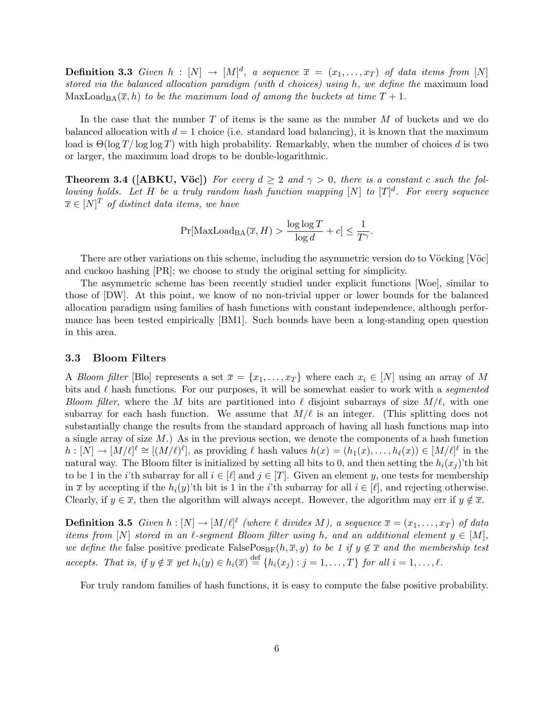**Definition 3.3** Given  $h : [N] \to [M]^d$ , a sequence  $\overline{x} = (x_1, \ldots, x_T)$  of data items from [N] stored via the balanced allocation paradigm (with d choices) using h, we define the maximum load MaxLoad<sub>BA</sub> $(\overline{x}, h)$  to be the maximum load of among the buckets at time  $T + 1$ .

In the case that the number  $T$  of items is the same as the number  $M$  of buckets and we do balanced allocation with  $d = 1$  choice (i.e. standard load balancing), it is known that the maximum load is  $\Theta(\log T / \log \log T)$  with high probability. Remarkably, when the number of choices d is two or larger, the maximum load drops to be double-logarithmic.

**Theorem 3.4 ([ABKU, Vöc])** For every  $d \geq 2$  and  $\gamma > 0$ , there is a constant c such the following holds. Let H be a truly random hash function mapping  $[N]$  to  $[T]^d$ . For every sequence  $\overline{x} \in [N]^T$  of distinct data items, we have

$$
\Pr[\text{MaxLoad}_{\text{BA}}(\overline{x}, H) > \frac{\log \log T}{\log d} + c] \le \frac{1}{T^{\gamma}}.
$$

There are other variations on this scheme, including the asymmetric version do to Vöcking [Vöc] and cuckoo hashing [PR]; we choose to study the original setting for simplicity.

The asymmetric scheme has been recently studied under explicit functions [Woe], similar to those of [DW]. At this point, we know of no non-trivial upper or lower bounds for the balanced allocation paradigm using families of hash functions with constant independence, although performance has been tested empirically [BM1]. Such bounds have been a long-standing open question in this area.

### 3.3 Bloom Filters

A Bloom filter [Blo] represents a set  $\overline{x} = \{x_1, \ldots, x_T\}$  where each  $x_i \in [N]$  using an array of M bits and  $\ell$  hash functions. For our purposes, it will be somewhat easier to work with a segmented Bloom filter, where the M bits are partitioned into  $\ell$  disjoint subarrays of size  $M/\ell$ , with one subarray for each hash function. We assume that  $M/\ell$  is an integer. (This splitting does not substantially change the results from the standard approach of having all hash functions map into a single array of size  $M$ .) As in the previous section, we denote the components of a hash function  $h: [N] \to [M/\ell]^{\ell} \cong [(M/\ell)^{\ell}],$  as providing  $\ell$  hash values  $h(x) = (h_1(x), \ldots, h_{\ell}(x)) \in [M/\ell]^{\ell}$  in the natural way. The Bloom filter is initialized by setting all bits to 0, and then setting the  $h_i(x_i)$ 'th bit to be 1 in the *i*'th subarray for all  $i \in [\ell]$  and  $j \in [T]$ . Given an element y, one tests for membership in  $\bar{x}$  by accepting if the  $h_i(y)$ 'th bit is 1 in the *i*'th subarray for all  $i \in [\ell]$ , and rejecting otherwise. Clearly, if  $y \in \overline{x}$ , then the algorithm will always accept. However, the algorithm may err if  $y \notin \overline{x}$ .

**Definition 3.5** Given  $h : [N] \to [M/\ell]^{\ell}$  (where  $\ell$  divides M), a sequence  $\overline{x} = (x_1, \ldots, x_T)$  of data items from [N] stored in an  $\ell$ -segment Bloom filter using h, and an additional element  $y \in [M]$ , we define the false positive predicate FalsePos<sub>BF</sub>(h,  $\overline{x}$ , y) to be 1 if  $y \notin \overline{x}$  and the membership test accepts. That is, if  $y \notin \overline{x}$  yet  $h_i(y) \in h_i(\overline{x}) \stackrel{\text{def}}{=} \{h_i(x_j) : j = 1, \ldots, T\}$  for all  $i = 1, \ldots, \ell$ .

For truly random families of hash functions, it is easy to compute the false positive probability.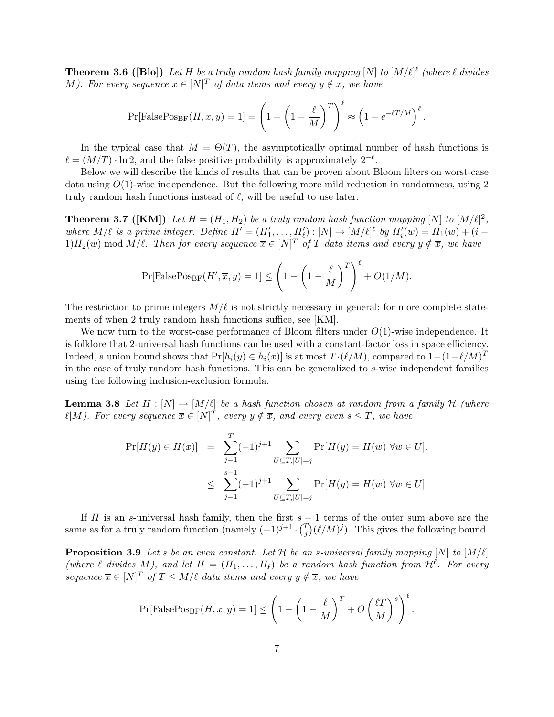**Theorem 3.6 ([Blo])** Let H be a truly random hash family mapping  $[N]$  to  $[M/\ell]^{\ell}$  (where  $\ell$  divides M). For every sequence  $\overline{x} \in [N]^T$  of data items and every  $y \notin \overline{x}$ , we have

$$
\Pr[\text{FalsePos}_{\text{BF}}(H,\overline{x},y) = 1] = \left(1 - \left(1 - \frac{\ell}{M}\right)^T\right)^{\ell} \approx \left(1 - e^{-\ell T/M}\right)^{\ell}.
$$

In the typical case that  $M = \Theta(T)$ , the asymptotically optimal number of hash functions is  $\ell = (M/T) \cdot \ln 2$ , and the false positive probability is approximately  $2^{-\ell}$ .

Below we will describe the kinds of results that can be proven about Bloom filters on worst-case data using  $O(1)$ -wise independence. But the following more mild reduction in randomness, using 2 truly random hash functions instead of  $\ell$ , will be useful to use later.

**Theorem 3.7** ([KM]) Let  $H = (H_1, H_2)$  be a truly random hash function mapping [N] to  $[M/\ell]^2$ , where  $M/\ell$  is a prime integer. Define  $H' = (H'_1, \ldots, H'_\ell) : [N] \to [M/\ell]^{\ell}$  by  $H'_i(w) = H_1(w) + (i - \ell)$  $1)H_2(w) \bmod M/\ell$ . Then for every sequence  $\overline{x} \in [N]^T$  of T data items and every  $y \notin \overline{x}$ , we have

$$
\Pr[\text{FalsePos}_{\text{BF}}(H', \overline{x}, y) = 1] \le \left(1 - \left(1 - \frac{\ell}{M}\right)^T\right)^{\ell} + O(1/M).
$$

The restriction to prime integers  $M/\ell$  is not strictly necessary in general; for more complete statements of when 2 truly random hash functions suffice, see [KM].

We now turn to the worst-case performance of Bloom filters under  $O(1)$ -wise independence. It is folklore that 2-universal hash functions can be used with a constant-factor loss in space efficiency. Indeed, a union bound shows that  $Pr[h_i(y) \in h_i(\overline{x})]$  is at most  $T \cdot (\ell/M)$ , compared to  $1 - (1 - \ell/M)^T$ in the case of truly random hash functions. This can be generalized to s-wise independent families using the following inclusion-exclusion formula.

**Lemma 3.8** Let  $H : [N] \to [M/\ell]$  be a hash function chosen at random from a family H (where  $\ell|M$ ). For every sequence  $\overline{x} \in [N]^T$ , every  $y \notin \overline{x}$ , and every even  $s \leq T$ , we have

$$
\Pr[H(y) \in H(\overline{x})] = \sum_{j=1}^{T} (-1)^{j+1} \sum_{U \subseteq T, |U|=j} \Pr[H(y) = H(w) \,\forall w \in U].
$$
  

$$
\leq \sum_{j=1}^{s-1} (-1)^{j+1} \sum_{U \subseteq T, |U|=j} \Pr[H(y) = H(w) \,\forall w \in U]
$$

If H is an s-universal hash family, then the first  $s - 1$  terms of the outer sum above are the same as for a truly random function (namely  $(-1)^{j+1} \cdot {T \choose j}$  $j^T_j(\ell/M)^j$ ). This gives the following bound.

**Proposition 3.9** Let s be an even constant. Let H be an s-universal family mapping  $[N]$  to  $[M/\ell]$ (where  $\ell$  divides M), and let  $H = (H_1, \ldots, H_\ell)$  be a random hash function from  $\mathcal{H}^{\ell}$ . For every sequence  $\overline{x} \in [N]^T$  of  $T \leq M/\ell$  data items and every  $y \notin \overline{x}$ , we have

$$
\Pr[\text{FalsePos}_{\text{BF}}(H,\overline{x},y) = 1] \le \left(1 - \left(1 - \frac{\ell}{M}\right)^T + O\left(\frac{\ell T}{M}\right)^s\right)^{\ell}.
$$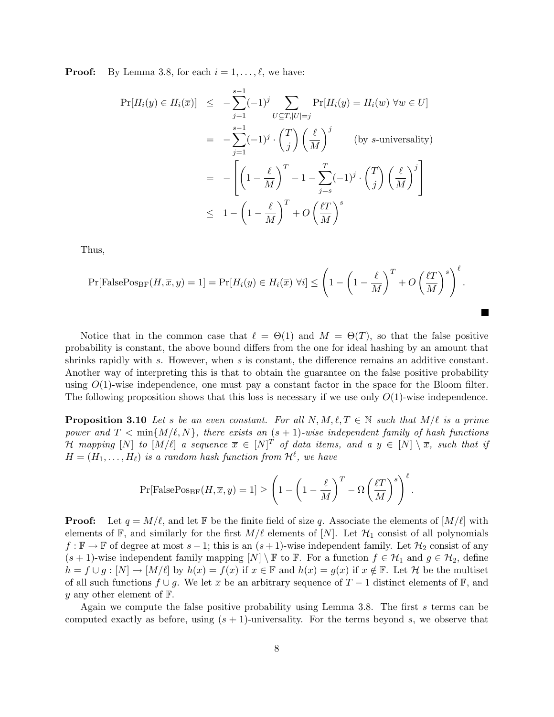**Proof:** By Lemma 3.8, for each  $i = 1, \ldots, \ell$ , we have:

$$
\Pr[H_i(y) \in H_i(\overline{x})] \leq -\sum_{j=1}^{s-1} (-1)^j \sum_{U \subseteq T, |U|=j} \Pr[H_i(y) = H_i(w) \,\forall w \in U]
$$

$$
= -\sum_{j=1}^{s-1} (-1)^j \cdot {T \choose j} \left(\frac{\ell}{M}\right)^j \qquad \text{(by s-universality)}
$$

$$
= -\left[ \left(1 - \frac{\ell}{M}\right)^T - 1 - \sum_{j=s}^T (-1)^j \cdot {T \choose j} \left(\frac{\ell}{M}\right)^j \right]
$$

$$
\leq 1 - \left(1 - \frac{\ell}{M}\right)^T + O\left(\frac{\ell T}{M}\right)^s
$$

Thus,

$$
\Pr[\text{FalsePos}_{\text{BF}}(H,\overline{x},y) = 1] = \Pr[H_i(y) \in H_i(\overline{x}) \,\forall i] \le \left(1 - \left(1 - \frac{\ell}{M}\right)^T + O\left(\frac{\ell T}{M}\right)^s\right)^{\ell}.
$$

Notice that in the common case that  $\ell = \Theta(1)$  and  $M = \Theta(T)$ , so that the false positive probability is constant, the above bound differs from the one for ideal hashing by an amount that shrinks rapidly with s. However, when s is constant, the difference remains an additive constant. Another way of interpreting this is that to obtain the guarantee on the false positive probability using  $O(1)$ -wise independence, one must pay a constant factor in the space for the Bloom filter. The following proposition shows that this loss is necessary if we use only  $O(1)$ -wise independence.

**Proposition 3.10** Let s be an even constant. For all  $N, M, \ell, T \in \mathbb{N}$  such that  $M/\ell$  is a prime power and  $T < \min\{M/\ell, N\}$ , there exists an  $(s + 1)$ -wise independent family of hash functions H mapping  $[N]$  to  $[M/\ell]$  a sequence  $\overline{x} \in [N]^T$  of data items, and a  $y \in [N] \setminus \overline{x}$ , such that if  $H = (H_1, \ldots, H_\ell)$  is a random hash function from  $\mathcal{H}^\ell$ , we have

$$
\Pr[\mathrm{FalsePos}_{\mathrm{BF}}(H,\overline{x},y) = 1] \ge \left(1 - \left(1 - \frac{\ell}{M}\right)^T - \Omega\left(\frac{\ell T}{M}\right)^s\right)^{\ell}.
$$

**Proof:** Let  $q = M/\ell$ , and let F be the finite field of size q. Associate the elements of  $[M/\ell]$  with elements of  $\mathbb{F}$ , and similarly for the first  $M/\ell$  elements of  $[N]$ . Let  $\mathcal{H}_1$  consist of all polynomials  $f: \mathbb{F} \to \mathbb{F}$  of degree at most  $s - 1$ ; this is an  $(s + 1)$ -wise independent family. Let  $\mathcal{H}_2$  consist of any  $(s + 1)$ -wise independent family mapping  $[N] \setminus \mathbb{F}$  to  $\mathbb{F}$ . For a function  $f \in \mathcal{H}_1$  and  $g \in \mathcal{H}_2$ , define  $h = f \cup g : [N] \to [M/\ell]$  by  $h(x) = f(x)$  if  $x \in \mathbb{F}$  and  $h(x) = g(x)$  if  $x \notin \mathbb{F}$ . Let H be the multiset of all such functions  $f \cup g$ . We let  $\overline{x}$  be an arbitrary sequence of  $T - 1$  distinct elements of  $\mathbb{F}$ , and y any other element of  $\mathbb{F}$ .

Again we compute the false positive probability using Lemma 3.8. The first s terms can be computed exactly as before, using  $(s + 1)$ -universality. For the terms beyond s, we observe that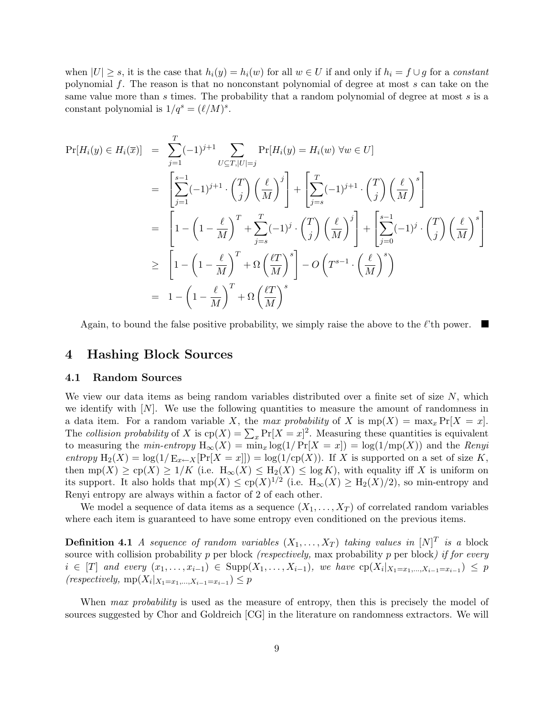when  $|U| \geq s$ , it is the case that  $h_i(y) = h_i(w)$  for all  $w \in U$  if and only if  $h_i = f \cup g$  for a constant polynomial f. The reason is that no nonconstant polynomial of degree at most s can take on the same value more than s times. The probability that a random polynomial of degree at most s is a constant polynomial is  $1/q^s = (\ell/M)^s$ .

$$
\Pr[H_i(y) \in H_i(\overline{x})] = \sum_{j=1}^T (-1)^{j+1} \sum_{U \subseteq T, |U| = j} \Pr[H_i(y) = H_i(w) \,\forall w \in U]
$$
  
\n
$$
= \left[ \sum_{j=1}^{s-1} (-1)^{j+1} \cdot {T \choose j} \left(\frac{\ell}{M}\right)^j \right] + \left[ \sum_{j=s}^T (-1)^{j+1} \cdot {T \choose j} \left(\frac{\ell}{M}\right)^s \right]
$$
  
\n
$$
= \left[ 1 - \left(1 - \frac{\ell}{M}\right)^T + \sum_{j=s}^T (-1)^j \cdot {T \choose j} \left(\frac{\ell}{M}\right)^j \right] + \left[ \sum_{j=0}^{s-1} (-1)^j \cdot {T \choose j} \left(\frac{\ell}{M}\right)^s \right]
$$
  
\n
$$
\geq \left[ 1 - \left(1 - \frac{\ell}{M}\right)^T + \Omega \left(\frac{\ell}{M}\right)^s \right] - O\left(T^{s-1} \cdot \left(\frac{\ell}{M}\right)^s\right)
$$
  
\n
$$
= 1 - \left(1 - \frac{\ell}{M}\right)^T + \Omega \left(\frac{\ell}{M}\right)^s
$$

Again, to bound the false positive probability, we simply raise the above to the  $\ell$ 'th power.

### 4 Hashing Block Sources

#### 4.1 Random Sources

We view our data items as being random variables distributed over a finite set of size  $N$ , which we identify with  $[N]$ . We use the following quantities to measure the amount of randomness in a data item. For a random variable X, the max probability of X is  $mp(X) = max_x Pr[X = x]$ . a data hem. For a random variable  $X$ , the max probability of  $X$  is mp( $X$ ) = max<sub>x</sub>  $r_1$ [ $X$  = x].<br>The collision probability of  $X$  is cp( $X$ ) =  $\sum_x \Pr[X = x]^2$ . Measuring these quantities is equivalent to measuring the *min-entropy*  $H_{\infty}(X) = \min_{x} \log(1/\Pr[X = x]) = \log(1/\min(X))$  and the *Renyi* entropy  $H_2(X) = \log(1/E_{x\leftarrow X}[Pr[X=x]]) = \log(1/cp(X))$ . If X is supported on a set of size K, then  $mp(X) \ge cp(X) \ge 1/K$  (i.e.  $H_{\infty}(X) \le H_2(X) \le \log K$ ), with equality iff X is uniform on its support. It also holds that  $mp(X) \le cp(X)^{1/2}$  (i.e.  $H_\infty(X) \ge H_2(X)/2$ ), so min-entropy and Renyi entropy are always within a factor of 2 of each other.

We model a sequence of data items as a sequence  $(X_1, \ldots, X_T)$  of correlated random variables where each item is guaranteed to have some entropy even conditioned on the previous items.

**Definition 4.1** A sequence of random variables  $(X_1, \ldots, X_T)$  taking values in  $[N]^T$  is a block source with collision probability  $p$  per block *(respectively, max probability p per block) if for every*  $i \in [T]$  and every  $(x_1, \ldots, x_{i-1}) \in \text{Supp}(X_1, \ldots, X_{i-1}),$  we have  $\text{cp}(X_i | X_{1} = x_1, \ldots, X_{i-1} = x_{i-1}) \leq p$  $(respectively, mp(X_i | X_{1} = x_1, ..., X_{i-1} = x_{i-1}) \leq p$ 

When max probability is used as the measure of entropy, then this is precisely the model of sources suggested by Chor and Goldreich [CG] in the literature on randomness extractors. We will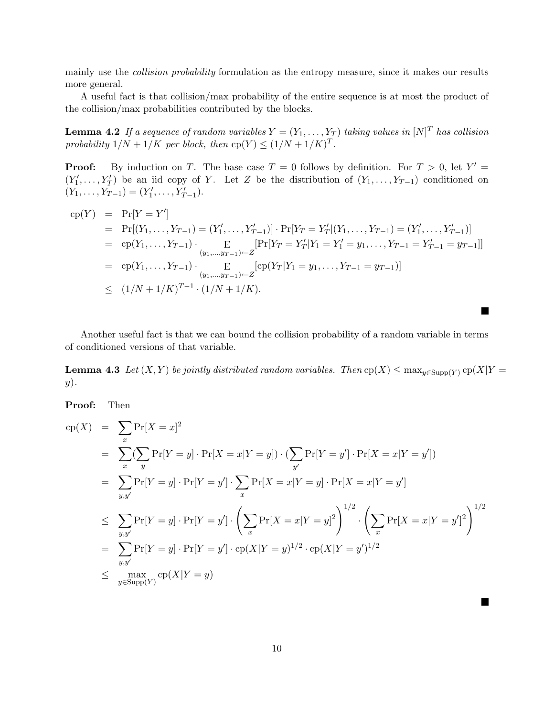mainly use the *collision probability* formulation as the entropy measure, since it makes our results more general.

A useful fact is that collision/max probability of the entire sequence is at most the product of the collision/max probabilities contributed by the blocks.

**Lemma 4.2** If a sequence of random variables  $Y = (Y_1, \ldots, Y_T)$  taking values in  $[N]^T$  has collision probability  $1/N + 1/K$  per block, then  $cp(Y) \le (1/N + 1/K)^T$ .

**Proof:** By induction on T. The base case  $T = 0$  follows by definition. For  $T > 0$ , let  $Y' =$  $(Y'_1, \ldots, Y'_T)$  be an iid copy of Y. Let Z be the distribution of  $(Y_1, \ldots, Y_{T-1})$  conditioned on  $(Y_1, \ldots, Y_{T-1}) = (Y'_1, \ldots, Y'_{T-1}).$ 

$$
c_{P}(Y) = Pr[Y = Y']
$$
  
\n
$$
= Pr[(Y_{1},...,Y_{T-1}) = (Y'_{1},...,Y'_{T-1})] \cdot Pr[Y_{T} = Y'_{T}| (Y_{1},...,Y_{T-1}) = (Y'_{1},...,Y'_{T-1})]
$$
  
\n
$$
= c_{P}(Y_{1},...,Y_{T-1}) \cdot \underset{(y_{1},...,y_{T-1}) \leftarrow Z}{E} [Pr[Y_{T} = Y'_{T}| Y_{1} = Y'_{1} = y_{1},...,Y_{T-1} = Y'_{T-1} = y_{T-1}]]
$$
  
\n
$$
= c_{P}(Y_{1},...,Y_{T-1}) \cdot \underset{(y_{1},...,y_{T-1}) \leftarrow Z}{E} [c_{P}(Y_{T}|Y_{1} = y_{1},...,Y_{T-1} = y_{T-1})]
$$
  
\n
$$
\leq (1/N + 1/K)^{T-1} \cdot (1/N + 1/K).
$$

Another useful fact is that we can bound the collision probability of a random variable in terms of conditioned versions of that variable.

**Lemma 4.3** Let  $(X, Y)$  be jointly distributed random variables. Then  $cp(X) \leq max_{y \in Supp(Y)} cp(X|Y = y)$  $y).$ 

 $\blacksquare$ 

 $\blacksquare$ 

Proof: Then

$$
c_{P}(X) = \sum_{x} Pr[X = x]^{2}
$$
  
\n
$$
= \sum_{x} (\sum_{y} Pr[Y = y] \cdot Pr[X = x|Y = y]) \cdot (\sum_{y'} Pr[Y = y'] \cdot Pr[X = x|Y = y'])
$$
  
\n
$$
= \sum_{y,y'} Pr[Y = y] \cdot Pr[Y = y'] \cdot \sum_{x} Pr[X = x|Y = y] \cdot Pr[X = x|Y = y']
$$
  
\n
$$
\leq \sum_{y,y'} Pr[Y = y] \cdot Pr[Y = y'] \cdot (\sum_{x} Pr[X = x|Y = y]^{2})^{1/2} \cdot (\sum_{x} Pr[X = x|Y = y']^{2})^{1/2}
$$
  
\n
$$
= \sum_{y,y'} Pr[Y = y] \cdot Pr[Y = y'] \cdot cp(X|Y = y)^{1/2} \cdot cp(X|Y = y')^{1/2}
$$
  
\n
$$
\leq \max_{y \in \text{Supp}(Y)} cp(X|Y = y)
$$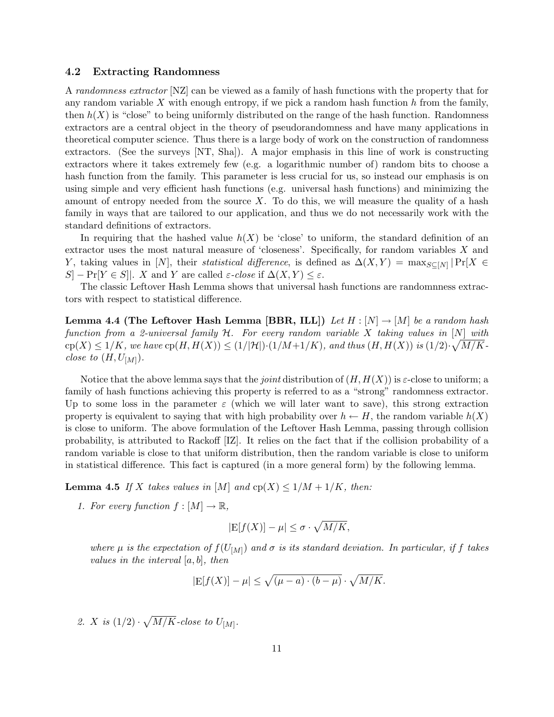#### 4.2 Extracting Randomness

A randomness extractor [NZ] can be viewed as a family of hash functions with the property that for any random variable  $X$  with enough entropy, if we pick a random hash function  $h$  from the family, then  $h(X)$  is "close" to being uniformly distributed on the range of the hash function. Randomness extractors are a central object in the theory of pseudorandomness and have many applications in theoretical computer science. Thus there is a large body of work on the construction of randomness extractors. (See the surveys [NT, Sha]). A major emphasis in this line of work is constructing extractors where it takes extremely few (e.g. a logarithmic number of) random bits to choose a hash function from the family. This parameter is less crucial for us, so instead our emphasis is on using simple and very efficient hash functions (e.g. universal hash functions) and minimizing the amount of entropy needed from the source  $X$ . To do this, we will measure the quality of a hash family in ways that are tailored to our application, and thus we do not necessarily work with the standard definitions of extractors.

In requiring that the hashed value  $h(X)$  be 'close' to uniform, the standard definition of an extractor uses the most natural measure of 'closeness'. Specifically, for random variables  $X$  and Y, taking values in [N], their *statistical difference*, is defined as  $\Delta(X, Y) = \max_{S \subseteq [N]} |Pr[X \in S]$  $S$  – Pr[Y  $\in S$ ]. X and Y are called  $\varepsilon$ -close if  $\Delta(X, Y) \leq \varepsilon$ .

The classic Leftover Hash Lemma shows that universal hash functions are randomnness extractors with respect to statistical difference.

**Lemma 4.4 (The Leftover Hash Lemma [BBR, ILL])** Let  $H : [N] \rightarrow [M]$  be a random hash function from a 2-universal family H. For every random variable X taking values in  $[N]$  with  $\text{cp}(X) \leq 1/K$ , we have  $\text{cp}(H, H(X)) \leq (1/|\mathcal{H}|) \cdot (1/M + 1/K)$ , and thus  $(H, H(X))$  is  $(1/2) \cdot \sqrt{M/K - 1/K}$ close to  $(H, U_{[M]})$ .

Notice that the above lemma says that the *joint* distribution of  $(H, H(X))$  is  $\varepsilon$ -close to uniform; a family of hash functions achieving this property is referred to as a "strong" randomness extractor. Up to some loss in the parameter  $\varepsilon$  (which we will later want to save), this strong extraction property is equivalent to saying that with high probability over  $h \leftarrow H$ , the random variable  $h(X)$ is close to uniform. The above formulation of the Leftover Hash Lemma, passing through collision probability, is attributed to Rackoff [IZ]. It relies on the fact that if the collision probability of a random variable is close to that uniform distribution, then the random variable is close to uniform in statistical difference. This fact is captured (in a more general form) by the following lemma.

**Lemma 4.5** If X takes values in [M] and  $cp(X) \leq 1/M + 1/K$ , then:

1. For every function  $f : [M] \to \mathbb{R}$ ,

$$
|\mathbf{E}[f(X)] - \mu| \le \sigma \cdot \sqrt{M/K},
$$

where  $\mu$  is the expectation of  $f(U_{[M]})$  and  $\sigma$  is its standard deviation. In particular, if f takes values in the interval  $[a, b]$ , then

$$
|E[f(X)] - \mu| \le \sqrt{(\mu - a) \cdot (b - \mu)} \cdot \sqrt{M/K}.
$$

2.  $X$  is  $(1/2)$ . p  $M/K$ -close to  $U_{[M]}$ .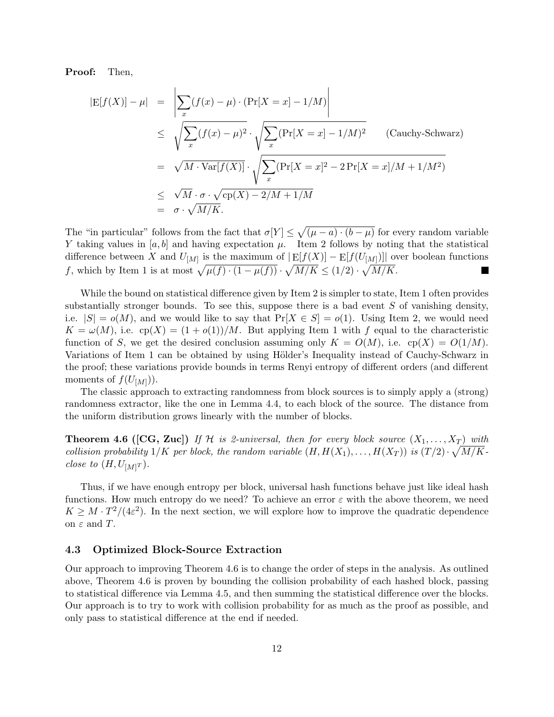Proof: Then,

$$
|E[f(X)] - \mu| = \left| \sum_{x} (f(x) - \mu) \cdot (\Pr[X = x] - 1/M) \right|
$$
  
\n
$$
\leq \sqrt{\sum_{x} (f(x) - \mu)^2} \cdot \sqrt{\sum_{x} (\Pr[X = x] - 1/M)^2}
$$
 (Cauchy-Schwarz)  
\n
$$
= \sqrt{M \cdot \text{Var}[f(X)]} \cdot \sqrt{\sum_{x} (\Pr[X = x]^2 - 2\Pr[X = x]/M + 1/M^2)}
$$
  
\n
$$
\leq \sqrt{M} \cdot \sigma \cdot \sqrt{\text{cp}(X) - 2/M + 1/M}
$$
  
\n
$$
= \sigma \cdot \sqrt{M/K}.
$$

The "in particular" follows from the fact that  $\sigma[Y] \leq$ p  $(\mu - a) \cdot (b - \mu)$  for every random variable Y taking values in [a, b] and having expectation  $\mu$ . Item 2 follows by noting that the statistical difference between X and  $U_{[M]}$  is the maximum of  $|\mathop{\rm E}[f(X)] - \mathop{\rm E}[f(U_{[M]})]|$  over boolean functions therefore between A and  $U[M]$  is the maximum of  $|E[f(X)] - E[f(U[M])]|$  of  $f$ , which by Item 1 is at most  $\sqrt{\mu(f) \cdot (1 - \mu(f))} \cdot \sqrt{M/K} \le (1/2) \cdot \sqrt{M/K}$ .

While the bound on statistical difference given by Item 2 is simpler to state, Item 1 often provides substantially stronger bounds. To see this, suppose there is a bad event  $S$  of vanishing density, i.e.  $|S| = o(M)$ , and we would like to say that  $Pr[X \in S] = o(1)$ . Using Item 2, we would need  $K = \omega(M)$ , i.e.  $cp(X) = (1 + o(1))/M$ . But applying Item 1 with f equal to the characteristic function of S, we get the desired conclusion assuming only  $K = O(M)$ , i.e.  $cp(X) = O(1/M)$ . Variations of Item 1 can be obtained by using Hölder's Inequality instead of Cauchy-Schwarz in the proof; these variations provide bounds in terms Renyi entropy of different orders (and different moments of  $f(U_{[M]})$ ).

The classic approach to extracting randomness from block sources is to simply apply a (strong) randomness extractor, like the one in Lemma 4.4, to each block of the source. The distance from the uniform distribution grows linearly with the number of blocks.

**Theorem 4.6** ([CG, Zuc]) If H is 2-universal, then for every block source  $(X_1, \ldots, X_T)$  with collision probability  $1/K$  per block, the random variable  $(H, H(X_1), \ldots, H(X_T))$  is  $(T/2) \cdot \sqrt{M/K}$ close to  $(H, U_{[M]T})$ .

Thus, if we have enough entropy per block, universal hash functions behave just like ideal hash functions. How much entropy do we need? To achieve an error  $\varepsilon$  with the above theorem, we need  $K \geq M \cdot T^2/(4\varepsilon^2)$ . In the next section, we will explore how to improve the quadratic dependence on  $\varepsilon$  and T.

### 4.3 Optimized Block-Source Extraction

Our approach to improving Theorem 4.6 is to change the order of steps in the analysis. As outlined above, Theorem 4.6 is proven by bounding the collision probability of each hashed block, passing to statistical difference via Lemma 4.5, and then summing the statistical difference over the blocks. Our approach is to try to work with collision probability for as much as the proof as possible, and only pass to statistical difference at the end if needed.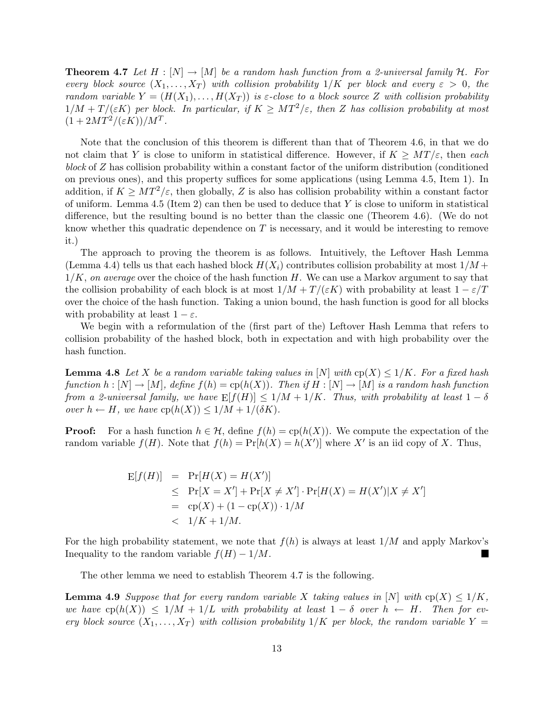**Theorem 4.7** Let H :  $[N] \rightarrow [M]$  be a random hash function from a 2-universal family H. For every block source  $(X_1, \ldots, X_T)$  with collision probability  $1/K$  per block and every  $\varepsilon > 0$ , the random variable  $Y = (H(X_1), \ldots, H(X_T))$  is  $\varepsilon$ -close to a block source Z with collision probability  $1/M + T/(\varepsilon K)$  per block. In particular, if  $K \geq MT^2/\varepsilon$ , then Z has collision probability at most  $(1+2MT^2/(\varepsilon K))/M^T$ .

Note that the conclusion of this theorem is different than that of Theorem 4.6, in that we do not claim that Y is close to uniform in statistical difference. However, if  $K \geq MT/\varepsilon$ , then each block of Z has collision probability within a constant factor of the uniform distribution (conditioned on previous ones), and this property suffices for some applications (using Lemma 4.5, Item 1). In addition, if  $K \geq MT^2/\varepsilon$ , then globally, Z is also has collision probability within a constant factor of uniform. Lemma 4.5 (Item 2) can then be used to deduce that  $Y$  is close to uniform in statistical difference, but the resulting bound is no better than the classic one (Theorem 4.6). (We do not know whether this quadratic dependence on  $T$  is necessary, and it would be interesting to remove it.)

The approach to proving the theorem is as follows. Intuitively, the Leftover Hash Lemma (Lemma 4.4) tells us that each hashed block  $H(X_i)$  contributes collision probability at most  $1/M +$  $1/K$ , on average over the choice of the hash function H. We can use a Markov argument to say that the collision probability of each block is at most  $1/M + T/(\varepsilon K)$  with probability at least  $1 - \varepsilon/T$ over the choice of the hash function. Taking a union bound, the hash function is good for all blocks with probability at least  $1 - \varepsilon$ .

We begin with a reformulation of the (first part of the) Leftover Hash Lemma that refers to collision probability of the hashed block, both in expectation and with high probability over the hash function.

**Lemma 4.8** Let X be a random variable taking values in [N] with  $cp(X) \leq 1/K$ . For a fixed hash function  $h : [N] \to [M]$ , define  $f(h) = \text{cp}(h(X))$ . Then if  $H : [N] \to [M]$  is a random hash function from a 2-universal family, we have  $E[f(H)] \leq 1/M + 1/K$ . Thus, with probability at least  $1 - \delta$ over  $h \leftarrow H$ , we have  $cp(h(X)) \leq 1/M + 1/(\delta K)$ .

**Proof:** For a hash function  $h \in \mathcal{H}$ , define  $f(h) = cp(h(X))$ . We compute the expectation of the random variable  $f(H)$ . Note that  $f(h) = Pr[h(X) = h(X')]$  where X' is an iid copy of X. Thus,

$$
E[f(H)] = Pr[H(X) = H(X')] \n\leq Pr[X = X'] + Pr[X \neq X'] \cdot Pr[H(X) = H(X')]X \neq X'] \n= cp(X) + (1 - cp(X)) \cdot 1/M \n< 1/K + 1/M.
$$

For the high probability statement, we note that  $f(h)$  is always at least  $1/M$  and apply Markov's Inequality to the random variable  $f(H) - 1/M$ .

The other lemma we need to establish Theorem 4.7 is the following.

**Lemma 4.9** Suppose that for every random variable X taking values in [N] with  $cp(X) \leq 1/K$ , we have  $\text{cp}(h(X)) \leq 1/M + 1/L$  with probability at least  $1 - \delta$  over  $h \leftarrow H$ . Then for every block source  $(X_1, \ldots, X_T)$  with collision probability  $1/K$  per block, the random variable  $Y =$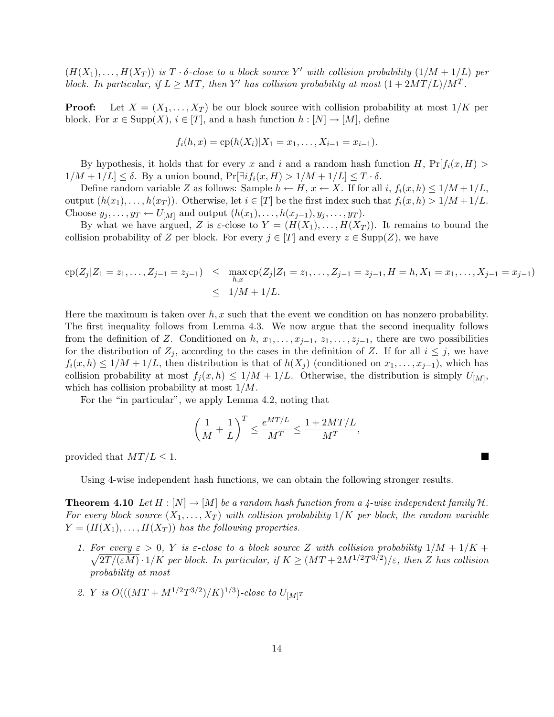$(H(X_1),...,H(X_T))$  is  $T \cdot \delta$ -close to a block source Y' with collision probability  $(1/M + 1/L)$  per block. In particular, if  $L \geq MT$ , then Y' has collision probability at most  $(1 + 2MT/L)/M<sup>T</sup>$ .

**Proof:** Let  $X = (X_1, \ldots, X_T)$  be our block source with collision probability at most  $1/K$  per block. For  $x \in \text{Supp}(X)$ ,  $i \in [T]$ , and a hash function  $h : [N] \to [M]$ , define

$$
f_i(h, x) = \text{cp}(h(X_i)|X_1 = x_1, \dots, X_{i-1} = x_{i-1}).
$$

By hypothesis, it holds that for every x and i and a random hash function H,  $Pr[f_i(x, H) >$  $1/M + 1/L \leq \delta$ . By a union bound,  $\Pr[\exists i f_i(x, H) > 1/M + 1/L] \leq T \cdot \delta$ .

Define random variable Z as follows: Sample  $h \leftarrow H$ ,  $x \leftarrow X$ . If for all i,  $f_i(x, h) \leq 1/M + 1/L$ , output  $(h(x_1),...,h(x_T))$ . Otherwise, let  $i \in [T]$  be the first index such that  $f_i(x,h) > 1/M + 1/L$ . Choose  $y_j, \ldots, y_T \leftarrow U_{[M]}$  and output  $(h(x_1), \ldots, h(x_{j-1}), y_j, \ldots, y_T)$ .

By what we have argued, Z is  $\varepsilon$ -close to  $Y = (H(X_1), \ldots, H(X_T))$ . It remains to bound the collision probability of Z per block. For every  $j \in [T]$  and every  $z \in \text{Supp}(Z)$ , we have

$$
cp(Z_j|Z_1 = z_1, ..., Z_{j-1} = z_{j-1}) \le \max_{h,x} cp(Z_j|Z_1 = z_1, ..., Z_{j-1} = z_{j-1}, H = h, X_1 = x_1, ..., X_{j-1} = x_{j-1})
$$
  
 
$$
\le 1/M + 1/L.
$$

Here the maximum is taken over  $h, x$  such that the event we condition on has nonzero probability. The first inequality follows from Lemma 4.3. We now argue that the second inequality follows from the definition of Z. Conditioned on h,  $x_1, \ldots, x_{j-1}, x_1, \ldots, z_{j-1}$ , there are two possibilities for the distribution of  $Z_j$ , according to the cases in the definition of Z. If for all  $i \leq j$ , we have  $f_i(x, h) \leq 1/M + 1/L$ , then distribution is that of  $h(X_i)$  (conditioned on  $x_1, \ldots, x_{j-1}$ ), which has collision probability at most  $f_j(x, h) \leq 1/M + 1/L$ . Otherwise, the distribution is simply  $U_{[M]}$ , which has collision probability at most 1/M.

For the "in particular", we apply Lemma 4.2, noting that

$$
\left(\frac{1}{M} + \frac{1}{L}\right)^T \le \frac{e^{MT/L}}{M^T} \le \frac{1 + 2MT/L}{M^T},
$$

provided that  $MT/L \leq 1$ .

Using 4-wise independent hash functions, we can obtain the following stronger results.

**Theorem 4.10** Let  $H : [N] \to [M]$  be a random hash function from a 4-wise independent family  $H$ . For every block source  $(X_1, \ldots, X_T)$  with collision probability  $1/K$  per block, the random variable  $Y = (H(X_1), \ldots, H(X_T))$  has the following properties.

- 1. For every  $\varepsilon > 0$ , Y is  $\varepsilon$ -close to a block source Z with collision probability  $1/M + 1/K +$  $\overline{2T/(\varepsilon M)}\cdot 1/K$  per block. In particular, if  $K\geq (MT+2M^{1/2}T^{3/2})/\varepsilon$ , then Z has collision probability at most
- 2. Y is  $O(((MT + M^{1/2}T^{3/2})/K)^{1/3})$ -close to  $U_{[M]T}$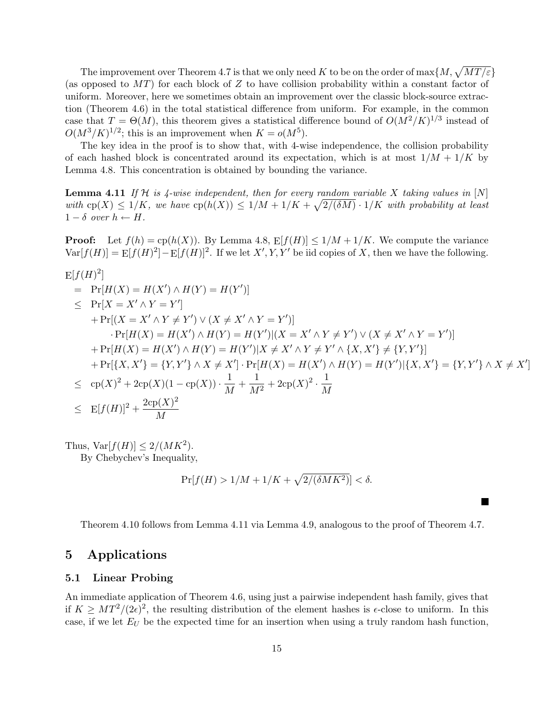The improvement over Theorem 4.7 is that we only need K to be on the order of  $\max\{M, \sqrt{MT/\varepsilon}\}$ (as opposed to  $MT$ ) for each block of Z to have collision probability within a constant factor of uniform. Moreover, here we sometimes obtain an improvement over the classic block-source extraction (Theorem 4.6) in the total statistical difference from uniform. For example, in the common case that  $T = \Theta(M)$ , this theorem gives a statistical difference bound of  $O(M^2/K)^{1/3}$  instead of  $O(M^3/K)^{1/2}$ ; this is an improvement when  $K = o(M^5)$ .

The key idea in the proof is to show that, with 4-wise independence, the collision probability of each hashed block is concentrated around its expectation, which is at most  $1/M + 1/K$  by Lemma 4.8. This concentration is obtained by bounding the variance.

**Lemma 4.11** If  $H$  is 4-wise independent, then for every random variable X taking values in  $[N]$ with  $\text{cp}(X) \leq 1/K$ , we have  $\text{cp}(h(X)) \leq 1/M + 1/K + \sqrt{2}/(\delta M) \cdot 1/K$  with probability at least  $1 - \delta$  over  $h \leftarrow H$ .

**Proof:** Let  $f(h) = cp(h(X))$ . By Lemma 4.8,  $E[f(H)] \le 1/M + 1/K$ . We compute the variance  $Var[f(H)] = E[f(H)^{2}] - E[f(H)]^{2}$ . If we let  $X', Y, Y'$  be iid copies of X, then we have the following.

$$
E[f(H)^{2}]
$$
  
\n=  $Pr[H(X) = H(X') \land H(Y) = H(Y')]$   
\n $\leq Pr[X = X' \land Y = Y']$   
\n+  $Pr[(X = X' \land Y \neq Y') \lor (X \neq X' \land Y = Y')]$   
\n $\cdot Pr[H(X) = H(X') \land H(Y) = H(Y') | (X = X' \land Y \neq Y') \lor (X \neq X' \land Y = Y')]$   
\n+  $Pr[H(X) = H(X') \land H(Y) = H(Y') | X \neq X' \land Y \neq Y' \land \{X, X'\} \neq \{Y, Y'\}]$   
\n+  $Pr[\{X, X'\} = \{Y, Y'\} \land X \neq X'] \cdot Pr[H(X) = H(X') \land H(Y) = H(Y') | \{X, X'\} = \{Y, Y'\} \land X \neq X']$   
\n $\leq cp(X)^{2} + 2cp(X)(1 - cp(X)) \cdot \frac{1}{M} + \frac{1}{M^{2}} + 2cp(X)^{2} \cdot \frac{1}{M}$   
\n $\leq Ef(f(H))^{2} + \frac{2cp(X)^{2}}{M}$ 

Thus,  $\text{Var}[f(H)] \leq 2/(MK^2)$ .

By Chebychev's Inequality,

$$
\Pr[f(H) > 1/M + 1/K + \sqrt{2/(\delta MK^2)}] < \delta.
$$

Theorem 4.10 follows from Lemma 4.11 via Lemma 4.9, analogous to the proof of Theorem 4.7.

## 5 Applications

#### 5.1 Linear Probing

An immediate application of Theorem 4.6, using just a pairwise independent hash family, gives that if  $K \geq MT^2/(2\epsilon)^2$ , the resulting distribution of the element hashes is  $\epsilon$ -close to uniform. In this case, if we let  $E_U$  be the expected time for an insertion when using a truly random hash function,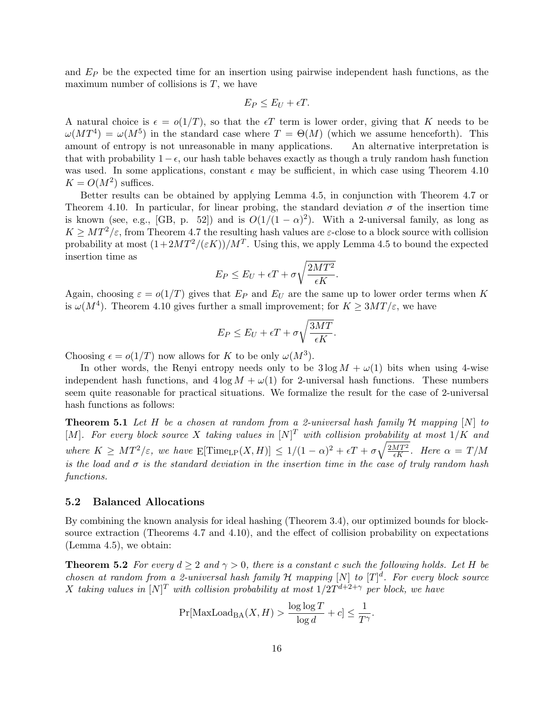and  $E_P$  be the expected time for an insertion using pairwise independent hash functions, as the maximum number of collisions is  $T$ , we have

$$
E_P \le E_U + \epsilon T.
$$

A natural choice is  $\epsilon = o(1/T)$ , so that the  $\epsilon T$  term is lower order, giving that K needs to be  $\omega(MT^4) = \omega(M^5)$  in the standard case where  $T = \Theta(M)$  (which we assume henceforth). This amount of entropy is not unreasonable in many applications. An alternative interpretation is that with probability  $1-\epsilon$ , our hash table behaves exactly as though a truly random hash function was used. In some applications, constant  $\epsilon$  may be sufficient, in which case using Theorem 4.10  $K = O(M^2)$  suffices.

Better results can be obtained by applying Lemma 4.5, in conjunction with Theorem 4.7 or Theorem 4.10. In particular, for linear probing, the standard deviation  $\sigma$  of the insertion time is known (see, e.g., [GB, p. 52]) and is  $O(1/(1-\alpha)^2)$ . With a 2-universal family, as long as  $K \geq MT^2/\varepsilon$ , from Theorem 4.7 the resulting hash values are  $\varepsilon$ -close to a block source with collision probability at most  $(1+2MT^2/(\varepsilon K))/M^T$ . Using this, we apply Lemma 4.5 to bound the expected insertion time as r

$$
E_P \le E_U + \epsilon T + \sigma \sqrt{\frac{2MT^2}{\epsilon K}}.
$$

Again, choosing  $\varepsilon = o(1/T)$  gives that  $E_P$  and  $E_U$  are the same up to lower order terms when K is  $\omega(M^4)$ . Theorem 4.10 gives further a small improvement; for  $K \geq 3MT/\varepsilon$ , we have

$$
E_P \le E_U + \epsilon T + \sigma \sqrt{\frac{3MT}{\epsilon K}}.
$$

Choosing  $\epsilon = o(1/T)$  now allows for K to be only  $\omega(M^3)$ .

In other words, the Renyi entropy needs only to be  $3 \log M + \omega(1)$  bits when using 4-wise independent hash functions, and  $4 \log M + \omega(1)$  for 2-universal hash functions. These numbers seem quite reasonable for practical situations. We formalize the result for the case of 2-universal hash functions as follows:

**Theorem 5.1** Let H be a chosen at random from a 2-universal hash family  $H$  mapping  $[N]$  to [M]. For every block source X taking values in  $[N]^T$  with collision probability at most  $1/K$  and where  $K \geq MT^2/\varepsilon$ , we have  $E[\text{Time}_{LP}(X,H)] \leq 1/(1-\alpha)^2 + \epsilon T + \sigma \sqrt{\frac{2MT^2}{\epsilon K}}$ . Here  $\alpha = T/M$ is the load and  $\sigma$  is the standard deviation in the insertion time in the case of truly random hash functions.

#### 5.2 Balanced Allocations

By combining the known analysis for ideal hashing (Theorem 3.4), our optimized bounds for blocksource extraction (Theorems 4.7 and 4.10), and the effect of collision probability on expectations (Lemma 4.5), we obtain:

**Theorem 5.2** For every  $d \geq 2$  and  $\gamma > 0$ , there is a constant c such the following holds. Let H be chosen at random from a 2-universal hash family H mapping  $[N]$  to  $[T]^d$ . For every block source X taking values in  $[N]^T$  with collision probability at most  $1/2T^{d+2+\gamma}$  per block, we have

$$
\Pr[\text{MaxLoad}_{\text{BA}}(X, H) > \frac{\log \log T}{\log d} + c] \le \frac{1}{T^{\gamma}}.
$$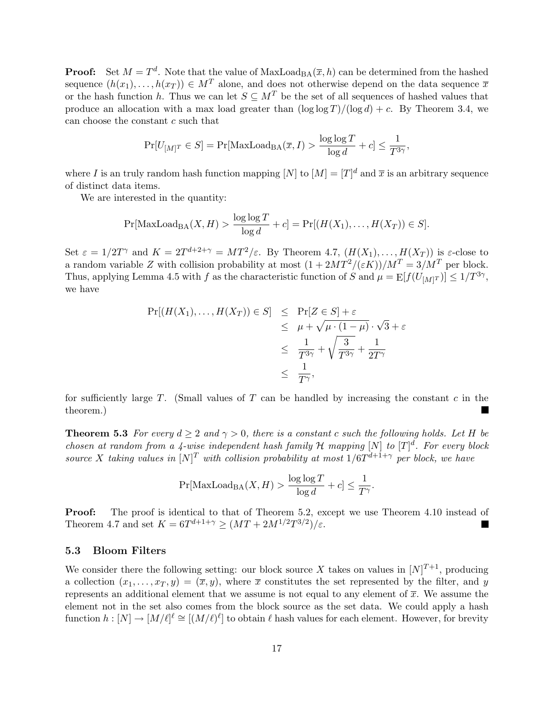**Proof:** Set  $M = T<sup>d</sup>$ . Note that the value of  $MaxLoad_{BA}(\overline{x}, h)$  can be determined from the hashed sequence  $(h(x_1), \ldots, h(x_T)) \in M^T$  alone, and does not otherwise depend on the data sequence  $\overline{x}$ or the hash function h. Thus we can let  $S \subseteq M^T$  be the set of all sequences of hashed values that produce an allocation with a max load greater than  $(\log \log T)/(\log d) + c$ . By Theorem 3.4, we can choose the constant c such that

$$
\Pr[U_{[M]^T} \in S] = \Pr[\text{MaxLoad}_{\text{BA}}(\overline{x}, I) > \frac{\log \log T}{\log d} + c] \le \frac{1}{T^{3\gamma}},
$$

where I is an truly random hash function mapping  $[N]$  to  $[M] = [T]^d$  and  $\bar{x}$  is an arbitrary sequence of distinct data items.

We are interested in the quantity:

$$
\Pr[\text{MaxLoad}_{BA}(X, H) > \frac{\log \log T}{\log d} + c] = \Pr[(H(X_1), \dots, H(X_T)) \in S].
$$

Set  $\varepsilon = 1/2T^{\gamma}$  and  $K = 2T^{d+2+\gamma} = MT^2/\varepsilon$ . By Theorem 4.7,  $(H(X_1),...,H(X_T))$  is  $\varepsilon$ -close to a random variable Z with collision probability at most  $(1+2MT^2/(\varepsilon K))/MT = 3/M^T$  per block. Thus, applying Lemma 4.5 with f as the characteristic function of S and  $\mu = \mathbb{E}[f(U_{[M]}^T)] \leq 1/T^{3\gamma}$ , we have

$$
\Pr[(H(X_1),...,H(X_T)) \in S] \leq \Pr[Z \in S] + \varepsilon
$$
  
\n
$$
\leq \mu + \sqrt{\mu \cdot (1 - \mu)} \cdot \sqrt{3} + \varepsilon
$$
  
\n
$$
\leq \frac{1}{T^{3\gamma}} + \sqrt{\frac{3}{T^{3\gamma}}} + \frac{1}{2T^{\gamma}}
$$
  
\n
$$
\leq \frac{1}{T^{\gamma}},
$$

for sufficiently large  $T$ . (Small values of  $T$  can be handled by increasing the constant  $c$  in the theorem.)

**Theorem 5.3** For every  $d \geq 2$  and  $\gamma > 0$ , there is a constant c such the following holds. Let H be chosen at random from a 4-wise independent hash family H mapping  $[N]$  to  $[T]^d$ . For every block source X taking values in  $[N]^T$  with collision probability at most  $1/6T^{d+1+\gamma}$  per block, we have

$$
\Pr[\text{MaxLoad}_{\text{BA}}(X, H) > \frac{\log \log T}{\log d} + c] \le \frac{1}{T^{\gamma}}.
$$

**Proof:** The proof is identical to that of Theorem 5.2, except we use Theorem 4.10 instead of Theorem 4.7 and set  $K = 6T^{d+1+\gamma} \ge (MT + 2M^{1/2}T^{3/2})/\varepsilon$ .

#### 5.3 Bloom Filters

We consider there the following setting: our block source X takes on values in  $[N]^{T+1}$ , producing a collection  $(x_1, \ldots, x_T, y) = (\overline{x}, y)$ , where  $\overline{x}$  constitutes the set represented by the filter, and y represents an additional element that we assume is not equal to any element of  $\bar{x}$ . We assume the element not in the set also comes from the block source as the set data. We could apply a hash function  $h: [N] \to [M/\ell]^{\ell} \cong [(M/\ell)^{\ell}]$  to obtain  $\ell$  hash values for each element. However, for brevity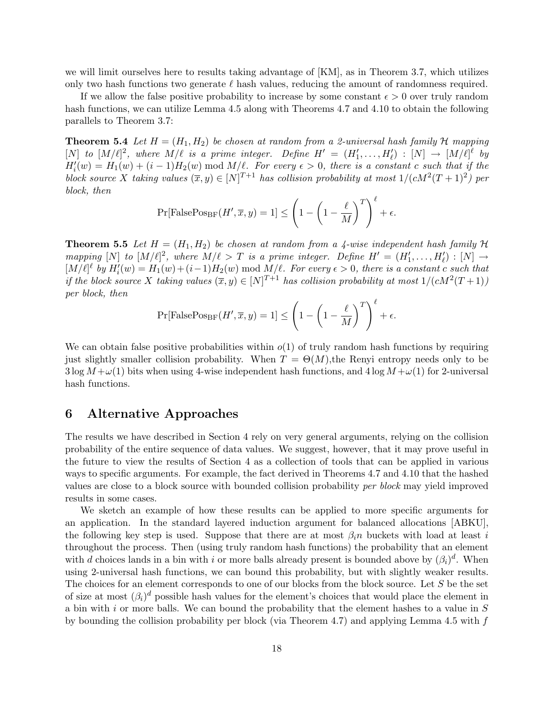we will limit ourselves here to results taking advantage of [KM], as in Theorem 3.7, which utilizes only two hash functions two generate  $\ell$  hash values, reducing the amount of randomness required.

If we allow the false positive probability to increase by some constant  $\epsilon > 0$  over truly random hash functions, we can utilize Lemma 4.5 along with Theorems 4.7 and 4.10 to obtain the following parallels to Theorem 3.7:

**Theorem 5.4** Let  $H = (H_1, H_2)$  be chosen at random from a 2-universal hash family H mapping [N] to  $[M/\ell]^2$ , where  $M/\ell$  is a prime integer. Define  $H' = (H'_1, \ldots, H'_{\ell}) : [N] \to [M/\ell]^{\ell}$  by  $H'_i(w) = H_1(w) + (i-1)H_2(w)$  mod  $M/\ell$ . For every  $\epsilon > 0$ , there is a constant c such that if the block source X taking values  $(\bar{x}, y) \in [N]^{T+1}$  has collision probability at most  $1/(cM^2(T+1)^2)$  per block, then  $\overline{a}$  $\sqrt{\ell}$ 

$$
\Pr[\text{FalsePos}_{\text{BF}}(H', \overline{x}, y) = 1] \le \left(1 - \left(1 - \frac{\ell}{M}\right)^T\right)^{\ell} + \epsilon.
$$

**Theorem 5.5** Let  $H = (H_1, H_2)$  be chosen at random from a 4-wise independent hash family H mapping  $[N]$  to  $[M/\ell]^2$ , where  $M/\ell > T$  is a prime integer. Define  $H' = (H'_1, \ldots, H'_\ell) : [N] \rightarrow$  $[M/\ell]^{\ell}$  by  $H'_{i}(w) = H_{1}(w) + (i-1)H_{2}(w) \bmod M/\ell$ . For every  $\epsilon > 0$ , there is a constant c such that if the block source X taking values  $(\bar{x}, y) \in [N]^{T+1}$  has collision probability at most  $1/(cM^2(T+1))$ per block, then  $\overline{a}$  $\sqrt{\ell}$ 

$$
\Pr[\text{FalsePos}_{\text{BF}}(H', \overline{x}, y) = 1] \le \left(1 - \left(1 - \frac{\ell}{M}\right)^T\right)^{\ell} + \epsilon.
$$

We can obtain false positive probabilities within  $o(1)$  of truly random hash functions by requiring just slightly smaller collision probability. When  $T = \Theta(M)$ , the Renyi entropy needs only to be  $3 \log M + \omega(1)$  bits when using 4-wise independent hash functions, and  $4 \log M + \omega(1)$  for 2-universal hash functions.

## 6 Alternative Approaches

The results we have described in Section 4 rely on very general arguments, relying on the collision probability of the entire sequence of data values. We suggest, however, that it may prove useful in the future to view the results of Section 4 as a collection of tools that can be applied in various ways to specific arguments. For example, the fact derived in Theorems 4.7 and 4.10 that the hashed values are close to a block source with bounded collision probability per block may yield improved results in some cases.

We sketch an example of how these results can be applied to more specific arguments for an application. In the standard layered induction argument for balanced allocations [ABKU], the following key step is used. Suppose that there are at most  $\beta_i n$  buckets with load at least i throughout the process. Then (using truly random hash functions) the probability that an element with d choices lands in a bin with i or more balls already present is bounded above by  $(\beta_i)^d$ . When using 2-universal hash functions, we can bound this probability, but with slightly weaker results. The choices for an element corresponds to one of our blocks from the block source. Let S be the set of size at most  $(\beta_i)^d$  possible hash values for the element's choices that would place the element in a bin with i or more balls. We can bound the probability that the element hashes to a value in S by bounding the collision probability per block (via Theorem 4.7) and applying Lemma 4.5 with f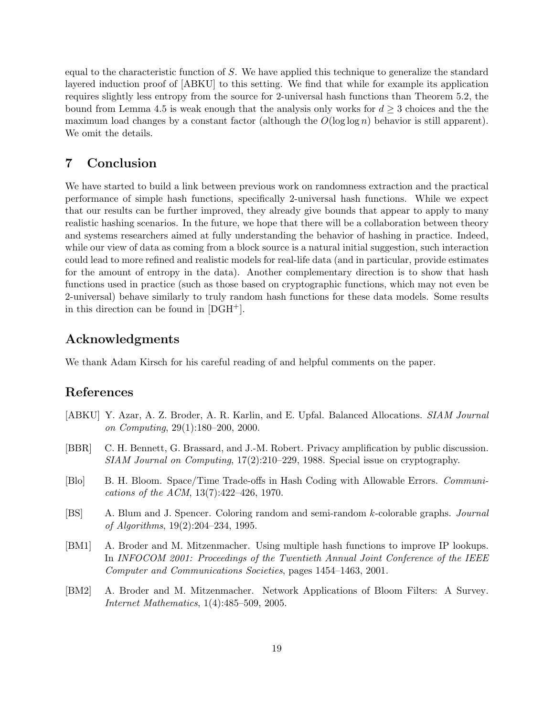equal to the characteristic function of S. We have applied this technique to generalize the standard layered induction proof of [ABKU] to this setting. We find that while for example its application requires slightly less entropy from the source for 2-universal hash functions than Theorem 5.2, the bound from Lemma 4.5 is weak enough that the analysis only works for  $d \geq 3$  choices and the the maximum load changes by a constant factor (although the  $O(\log \log n)$ ) behavior is still apparent). We omit the details.

## 7 Conclusion

We have started to build a link between previous work on randomness extraction and the practical performance of simple hash functions, specifically 2-universal hash functions. While we expect that our results can be further improved, they already give bounds that appear to apply to many realistic hashing scenarios. In the future, we hope that there will be a collaboration between theory and systems researchers aimed at fully understanding the behavior of hashing in practice. Indeed, while our view of data as coming from a block source is a natural initial suggestion, such interaction could lead to more refined and realistic models for real-life data (and in particular, provide estimates for the amount of entropy in the data). Another complementary direction is to show that hash functions used in practice (such as those based on cryptographic functions, which may not even be 2-universal) behave similarly to truly random hash functions for these data models. Some results in this direction can be found in [DGH+].

## Acknowledgments

We thank Adam Kirsch for his careful reading of and helpful comments on the paper.

## References

- [ABKU] Y. Azar, A. Z. Broder, A. R. Karlin, and E. Upfal. Balanced Allocations. SIAM Journal on Computing, 29(1):180–200, 2000.
- [BBR] C. H. Bennett, G. Brassard, and J.-M. Robert. Privacy amplification by public discussion. SIAM Journal on Computing, 17(2):210–229, 1988. Special issue on cryptography.
- [Blo] B. H. Bloom. Space/Time Trade-offs in Hash Coding with Allowable Errors. Communications of the ACM, 13(7):422–426, 1970.
- [BS] A. Blum and J. Spencer. Coloring random and semi-random k-colorable graphs. Journal of Algorithms, 19(2):204–234, 1995.
- [BM1] A. Broder and M. Mitzenmacher. Using multiple hash functions to improve IP lookups. In INFOCOM 2001: Proceedings of the Twentieth Annual Joint Conference of the IEEE Computer and Communications Societies, pages 1454–1463, 2001.
- [BM2] A. Broder and M. Mitzenmacher. Network Applications of Bloom Filters: A Survey. Internet Mathematics, 1(4):485–509, 2005.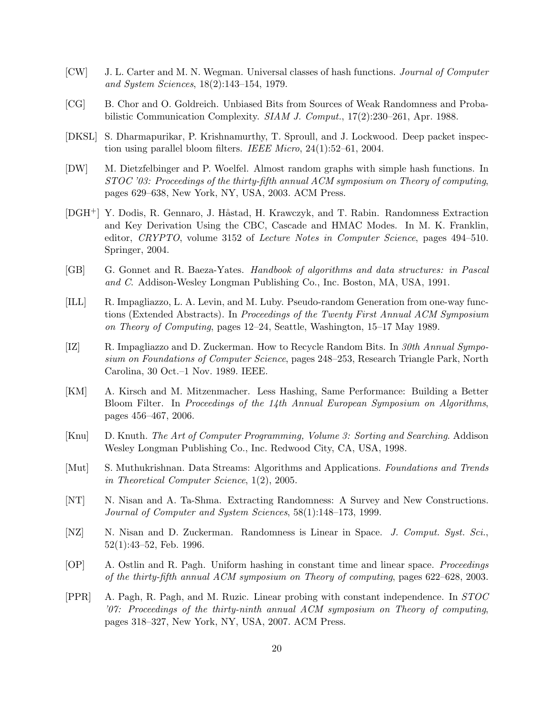- [CW] J. L. Carter and M. N. Wegman. Universal classes of hash functions. Journal of Computer and System Sciences, 18(2):143–154, 1979.
- [CG] B. Chor and O. Goldreich. Unbiased Bits from Sources of Weak Randomness and Probabilistic Communication Complexity. SIAM J. Comput., 17(2):230–261, Apr. 1988.
- [DKSL] S. Dharmapurikar, P. Krishnamurthy, T. Sproull, and J. Lockwood. Deep packet inspection using parallel bloom filters. IEEE Micro, 24(1):52–61, 2004.
- [DW] M. Dietzfelbinger and P. Woelfel. Almost random graphs with simple hash functions. In STOC '03: Proceedings of the thirty-fifth annual ACM symposium on Theory of computing, pages 629–638, New York, NY, USA, 2003. ACM Press.
- [DGH<sup>+</sup>] Y. Dodis, R. Gennaro, J. Håstad, H. Krawczyk, and T. Rabin. Randomness Extraction and Key Derivation Using the CBC, Cascade and HMAC Modes. In M. K. Franklin, editor, CRYPTO, volume 3152 of Lecture Notes in Computer Science, pages 494–510. Springer, 2004.
- [GB] G. Gonnet and R. Baeza-Yates. Handbook of algorithms and data structures: in Pascal and C. Addison-Wesley Longman Publishing Co., Inc. Boston, MA, USA, 1991.
- [ILL] R. Impagliazzo, L. A. Levin, and M. Luby. Pseudo-random Generation from one-way functions (Extended Abstracts). In Proceedings of the Twenty First Annual ACM Symposium on Theory of Computing, pages 12–24, Seattle, Washington, 15–17 May 1989.
- [IZ] R. Impagliazzo and D. Zuckerman. How to Recycle Random Bits. In 30th Annual Symposium on Foundations of Computer Science, pages 248–253, Research Triangle Park, North Carolina, 30 Oct.–1 Nov. 1989. IEEE.
- [KM] A. Kirsch and M. Mitzenmacher. Less Hashing, Same Performance: Building a Better Bloom Filter. In Proceedings of the 14th Annual European Symposium on Algorithms, pages 456–467, 2006.
- [Knu] D. Knuth. The Art of Computer Programming, Volume 3: Sorting and Searching. Addison Wesley Longman Publishing Co., Inc. Redwood City, CA, USA, 1998.
- [Mut] S. Muthukrishnan. Data Streams: Algorithms and Applications. Foundations and Trends in Theoretical Computer Science, 1(2), 2005.
- [NT] N. Nisan and A. Ta-Shma. Extracting Randomness: A Survey and New Constructions. Journal of Computer and System Sciences, 58(1):148–173, 1999.
- [NZ] N. Nisan and D. Zuckerman. Randomness is Linear in Space. *J. Comput. Syst. Sci.*, 52(1):43–52, Feb. 1996.
- [OP] A. Ostlin and R. Pagh. Uniform hashing in constant time and linear space. Proceedings of the thirty-fifth annual ACM symposium on Theory of computing, pages 622–628, 2003.
- [PPR] A. Pagh, R. Pagh, and M. Ruzic. Linear probing with constant independence. In STOC '07: Proceedings of the thirty-ninth annual  $ACM$  symposium on Theory of computing, pages 318–327, New York, NY, USA, 2007. ACM Press.